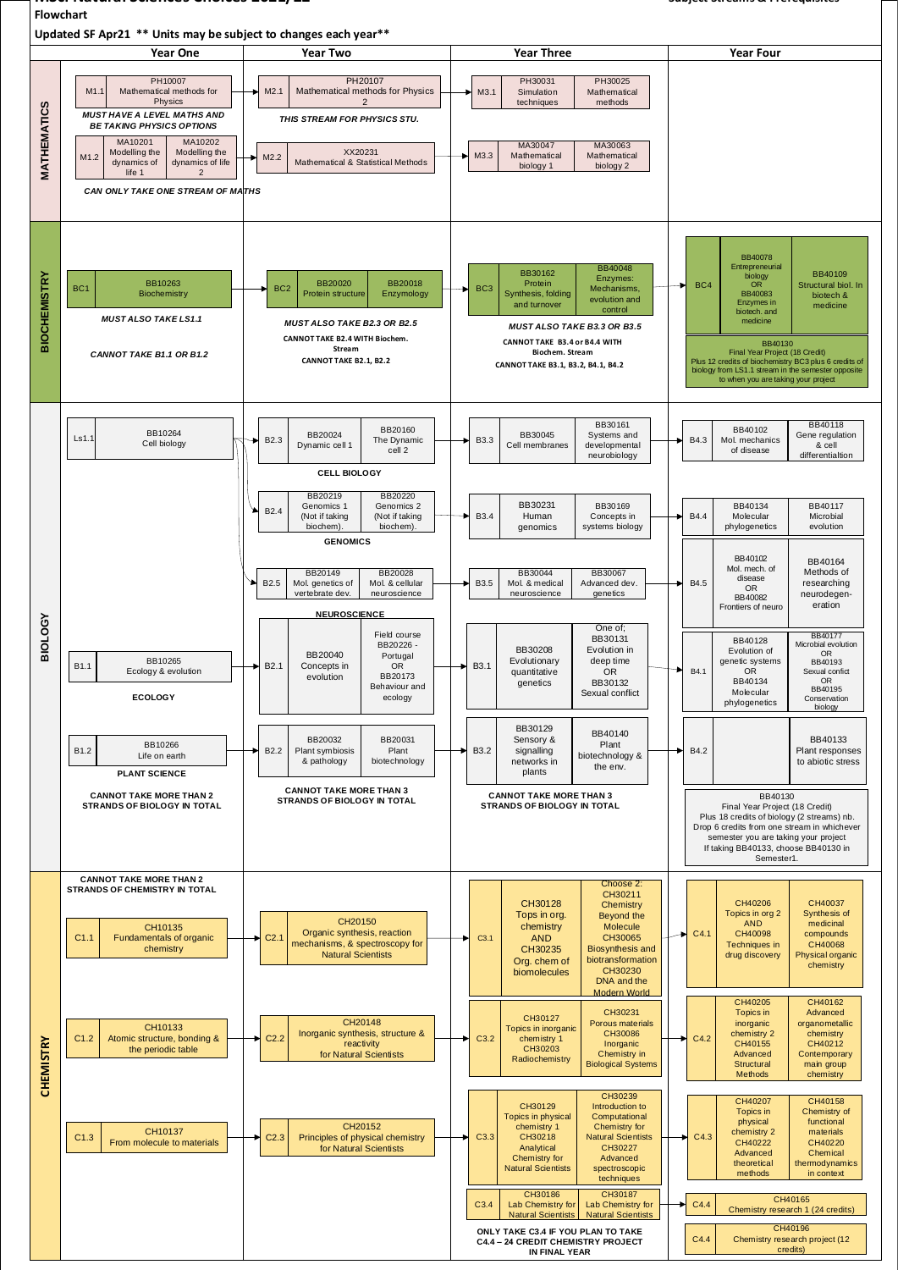## **MSci Natural Sciences Choices 2021/22 Subject Streams & Prerequisites Flowchart**

**Updated SF Apr21 \*\* Units may be subject to changes each year\*\***